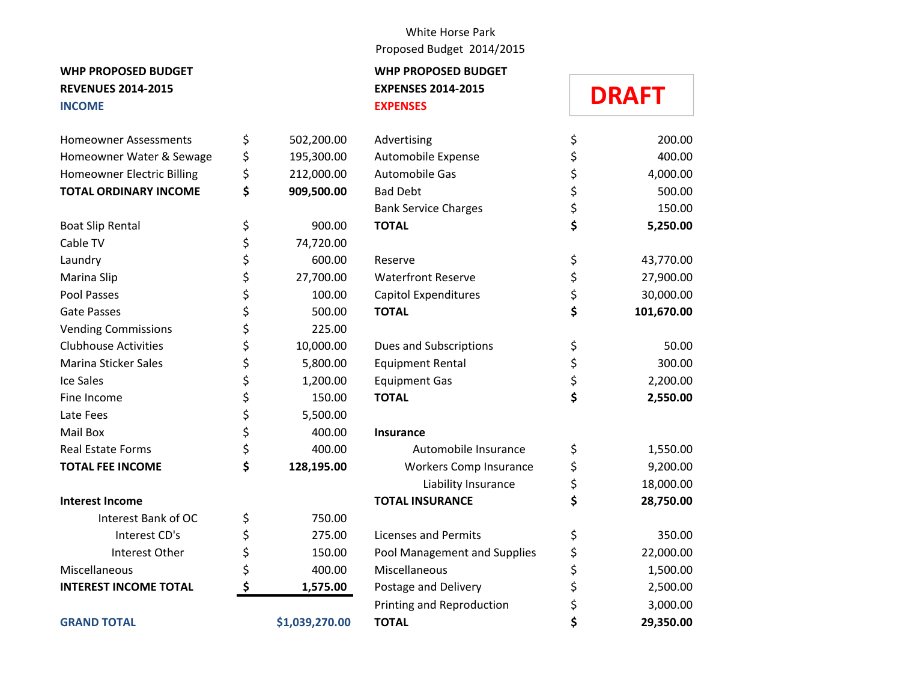### **REVENUES 2014-2015 EXPENSES 2014-2015 INCOME EXPENSES**

| <b>Homeowner Assessments</b>      | \$<br>502,200.00 | Advertisin       |
|-----------------------------------|------------------|------------------|
| Homeowner Water & Sewage          | \$<br>195,300.00 | Automobi         |
| <b>Homeowner Electric Billing</b> | \$<br>212,000.00 | Automobi         |
| <b>TOTAL ORDINARY INCOME</b>      | \$<br>909,500.00 | <b>Bad Debt</b>  |
|                                   |                  | <b>Bank Serv</b> |
| <b>Boat Slip Rental</b>           | \$<br>900.00     | <b>TOTAL</b>     |
| Cable TV                          | \$<br>74,720.00  |                  |
| Laundry                           | \$<br>600.00     | Reserve          |
| Marina Slip                       | \$<br>27,700.00  | Waterfror        |
| Pool Passes                       | \$<br>100.00     | Capitol Ex       |
| <b>Gate Passes</b>                | \$<br>500.00     | <b>TOTAL</b>     |
| <b>Vending Commissions</b>        | \$<br>225.00     |                  |
| <b>Clubhouse Activities</b>       | \$<br>10,000.00  | Dues and         |
| <b>Marina Sticker Sales</b>       | \$<br>5,800.00   | Equipmen         |
| <b>Ice Sales</b>                  | \$<br>1,200.00   | Equipmen         |
| Fine Income                       | \$<br>150.00     | <b>TOTAL</b>     |
| Late Fees                         | \$<br>5,500.00   |                  |
| Mail Box                          | \$<br>400.00     | Insurance        |
| <b>Real Estate Forms</b>          | \$<br>400.00     | Au               |
| <b>TOTAL FEE INCOME</b>           | \$<br>128,195.00 | Wor              |
|                                   |                  |                  |
| <b>Interest Income</b>            |                  | <b>TOTAL IN:</b> |
| Interest Bank of OC               | \$<br>750.00     |                  |
| Interest CD's                     | \$<br>275.00     | Licenses a       |
| Interest Other                    | \$<br>150.00     | Pool Mana        |
| Miscellaneous                     | \$<br>400.00     | Miscellane       |
| <b>INTEREST INCOME TOTAL</b>      | \$<br>1,575.00   | Postage a        |
|                                   |                  | Printing a       |
| <b>GRAND TOTAL</b>                | \$1,039,270.00   | <b>TOTAL</b>     |

#### White Horse Park Proposed Budget 2014/2015

# **WHP PROPOSED BUDGET WHP PROPOSED BUDGET**

## **DRAFT**

| <b>Homeowner Assessments</b>      | \$<br>502,200.00 | Advertising                  | \$<br>200.00     |
|-----------------------------------|------------------|------------------------------|------------------|
| Homeowner Water & Sewage          | \$<br>195,300.00 | Automobile Expense           | \$<br>400.00     |
| <b>Homeowner Electric Billing</b> | \$<br>212,000.00 | Automobile Gas               | \$<br>4,000.00   |
| <b>TOTAL ORDINARY INCOME</b>      | \$<br>909,500.00 | <b>Bad Debt</b>              | \$<br>500.00     |
|                                   |                  | <b>Bank Service Charges</b>  | \$<br>150.00     |
| <b>Boat Slip Rental</b>           | \$<br>900.00     | <b>TOTAL</b>                 | \$<br>5,250.00   |
| Cable TV                          | \$<br>74,720.00  |                              |                  |
| Laundry                           | \$<br>600.00     | Reserve                      | \$<br>43,770.00  |
| Marina Slip                       | \$<br>27,700.00  | <b>Waterfront Reserve</b>    | \$<br>27,900.00  |
| Pool Passes                       | \$<br>100.00     | Capitol Expenditures         | \$<br>30,000.00  |
| Gate Passes                       | \$<br>500.00     | <b>TOTAL</b>                 | \$<br>101,670.00 |
| <b>Vending Commissions</b>        | \$<br>225.00     |                              |                  |
| <b>Clubhouse Activities</b>       | \$<br>10,000.00  | Dues and Subscriptions       | \$<br>50.00      |
| Marina Sticker Sales              | \$<br>5,800.00   | <b>Equipment Rental</b>      | \$<br>300.00     |
| Ice Sales                         | \$<br>1,200.00   | <b>Equipment Gas</b>         | \$<br>2,200.00   |
| Fine Income                       | \$<br>150.00     | <b>TOTAL</b>                 | \$<br>2,550.00   |
| Late Fees                         | \$<br>5,500.00   |                              |                  |
| Mail Box                          | \$<br>400.00     | <b>Insurance</b>             |                  |
| <b>Real Estate Forms</b>          | \$<br>400.00     | Automobile Insurance         | \$<br>1,550.00   |
| <b>TOTAL FEE INCOME</b>           | \$<br>128,195.00 | Workers Comp Insurance       | \$<br>9,200.00   |
|                                   |                  | Liability Insurance          | \$<br>18,000.00  |
| <b>Interest Income</b>            |                  | <b>TOTAL INSURANCE</b>       | \$<br>28,750.00  |
| Interest Bank of OC               | \$<br>750.00     |                              |                  |
| Interest CD's                     | \$<br>275.00     | <b>Licenses and Permits</b>  | \$<br>350.00     |
| Interest Other                    | \$<br>150.00     | Pool Management and Supplies | \$<br>22,000.00  |
| Miscellaneous                     | \$<br>400.00     | Miscellaneous                | \$<br>1,500.00   |
| <b>INTEREST INCOME TOTAL</b>      | \$<br>1,575.00   | Postage and Delivery         | \$<br>2,500.00   |
|                                   |                  | Printing and Reproduction    | \$<br>3,000.00   |
| <b>GRAND TOTAL</b>                | \$1,039,270.00   | <b>TOTAL</b>                 | \$<br>29,350.00  |